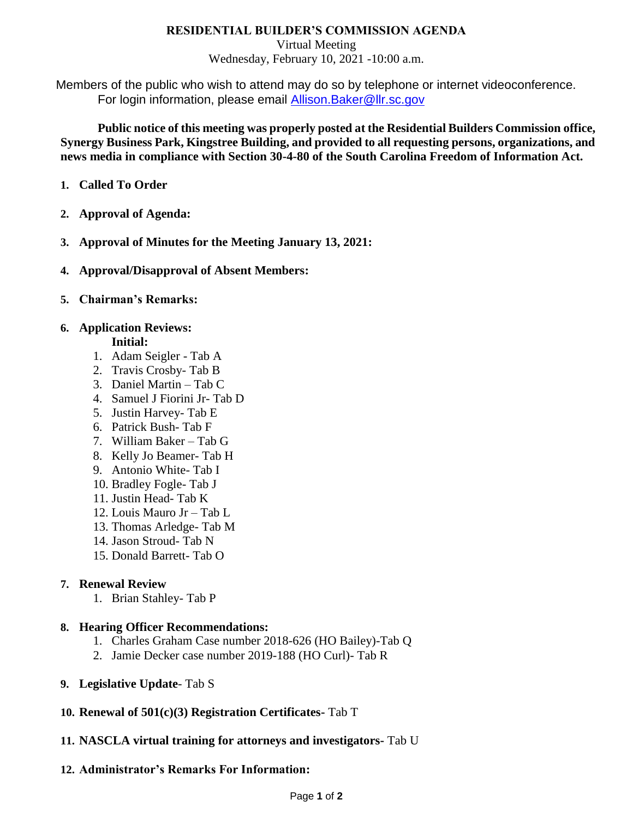## **RESIDENTIAL BUILDER'S COMMISSION AGENDA**

Virtual Meeting

Wednesday, February 10, 2021 -10:00 a.m.

Members of the public who wish to attend may do so by telephone or internet videoconference. For login information, please email [Allison.Baker@llr.sc.gov](mailto:Allison.Baker@llr.sc.gov)

**Public notice of this meeting was properly posted at the Residential Builders Commission office, Synergy Business Park, Kingstree Building, and provided to all requesting persons, organizations, and news media in compliance with Section 30-4-80 of the South Carolina Freedom of Information Act.**

- **1. Called To Order**
- **2. Approval of Agenda:**
- **3. Approval of Minutes for the Meeting January 13, 2021:**
- **4. Approval/Disapproval of Absent Members:**
- **5. Chairman's Remarks:**

### **6. Application Reviews:**

### **Initial:**

- 1. Adam Seigler Tab A
- 2. Travis Crosby- Tab B
- 3. Daniel Martin Tab C
- 4. Samuel J Fiorini Jr- Tab D
- 5. Justin Harvey- Tab E
- 6. Patrick Bush- Tab F
- 7. William Baker Tab G
- 8. Kelly Jo Beamer- Tab H
- 9. Antonio White- Tab I
- 10. Bradley Fogle- Tab J
- 11. Justin Head- Tab K
- 12. Louis Mauro Jr Tab L
- 13. Thomas Arledge- Tab M
- 14. Jason Stroud- Tab N
- 15. Donald Barrett- Tab O

# **7. Renewal Review**

1. Brian Stahley- Tab P

#### **8. Hearing Officer Recommendations:**

- 1. Charles Graham Case number 2018-626 (HO Bailey)-Tab Q
- 2. Jamie Decker case number 2019-188 (HO Curl)- Tab R
- **9. Legislative Update** Tab S
- **10. Renewal of 501(c)(3) Registration Certificates-** Tab T
- **11. NASCLA virtual training for attorneys and investigators-** Tab U

# **12. Administrator's Remarks For Information:**